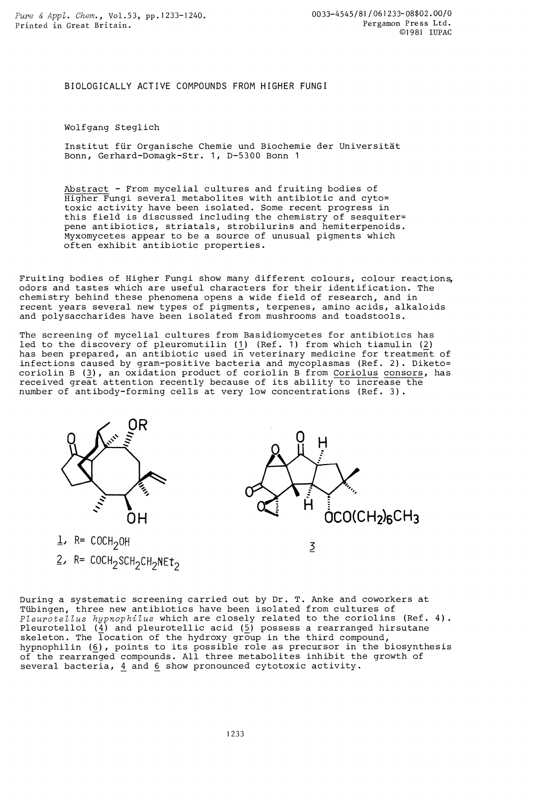BIOLOGICALLY ACTIVE COMPOUNDS FROM HIGHER FUNGI

Wolfgang Steglich

Institut für Organische Chemie und Biochemie der Universität Bonn, Gerhard-Domagk-Str. 1, D-5300 Bonn 1

Abstract - From mycelial cultures and fruiting bodies of Higher Fungi several metabolites with antibiotic and cyto= toxic activity have been isolated. Some recent progress in this field is discussed including the chemistry of sesquiter= pene antibiotics, striatals, strobilurins and hemiterpenoids. Myxomycetes appear to be a source of unusual pigments which often exhibit antibiotic properties.

Fruiting bodies of Higher Fungi show many different colours, colour reactions, odors and tastes which are useful characters for their identification. The chemistry behind these phenomena opens a wide field of research, and in recent years several new types of pigments, terpenes, amino acids, alkaloids and polysaccharides have been isolated from mushrooms and toadstools.

The screening of mycelial cultures from Basidiomycetes for antibiotics has led to the discovery of pleuromutilin (1) (Ref. 1) from which tiamulin (2) has been prepared, an antibiotic used in veterinary medicine for treatment of infections caused by gram-positive bacteria and mycoplasmas (Ref. 2). Diketo= coriolin B (3), an oxidation product of coriolin B from Coriolus consors, has received great attention recently because of its ability to increase the number of antibody-forming cells at very low concentrations (Ref. 3).

OН

 $1$ , R= COCH<sub>2</sub>OH  $2$ , R= COCH<sub>2</sub>SCH<sub>2</sub>CH<sub>2</sub>NEt<sub>2</sub>



During a systematic screening carried out by Dr. T. Anke and coworkers at Tübingen, three new antibiotics have been isolated from cultures of Pleurotellus hypnophilus which are closely related to the coriolins (Ref. 4). Pleurotellol (<u>4</u>) and pleurotellic acid (<u>5</u>) possess a rearranged hirsutane skeleton. The location of the hydroxy group in the third compound, hypnophilin (6), points to its possible role as precursor in the biosynthesis of the rearranged compounds. All three metabolites inhibit the growth of several bacteria, 4 and 6 show pronounced cytotoxic activity.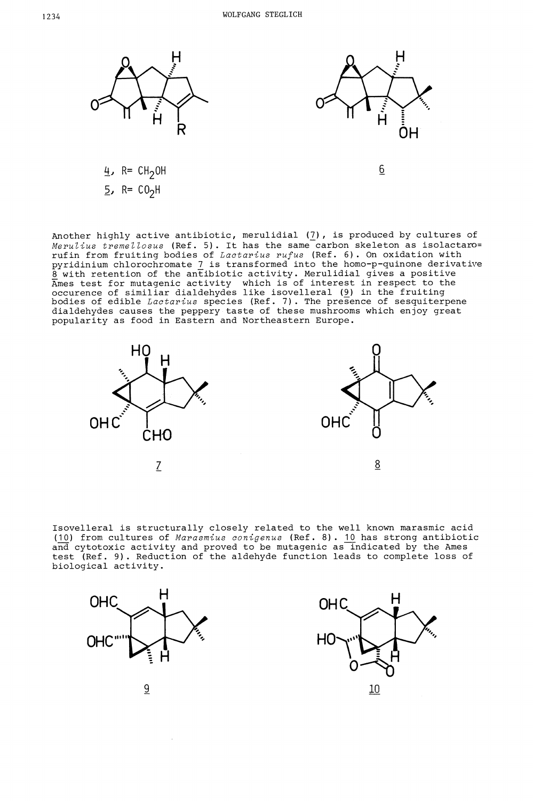

Another highly active antibiotic, merulidial ( $\prime$ ), is produced by cultures of Merulius tremellosus (Ref. 5). It has the same carbon skeleton as isolactaro= rufin from fruiting bodies of *Lactarius rufus* (Ref. 6). On oxidation with pyridinium chlorochromate 7 is transformed into the homo-p-quinone derivative  $\tilde{8}$  with retention of the antibiotic activity. Merulidial gives a positive Ames test for mutagenic activity which is of interest in respect to the occurence of similiar dialdehydes like isovelleral (9) in the fruiting bodies of edible *Lactarius* species (Ref. 7). The presence of sesquiterpene dialdehydes causes the peppery taste of these mushrooms which enjoy great popularity as food in Eastern and Northeastern Europe.



Isovelleral is structurally closely related to the well known marasmic acid (10) from cultures of Marasmius conigenus (Ref. 8). 10 has strong antibiotic and cytotoxic activity and proved to be mutagenic as indicated by the Ames test (Ref. 9). Reduction of the aldehyde function leads to complete loss of biological activity.



 $\sim$ 

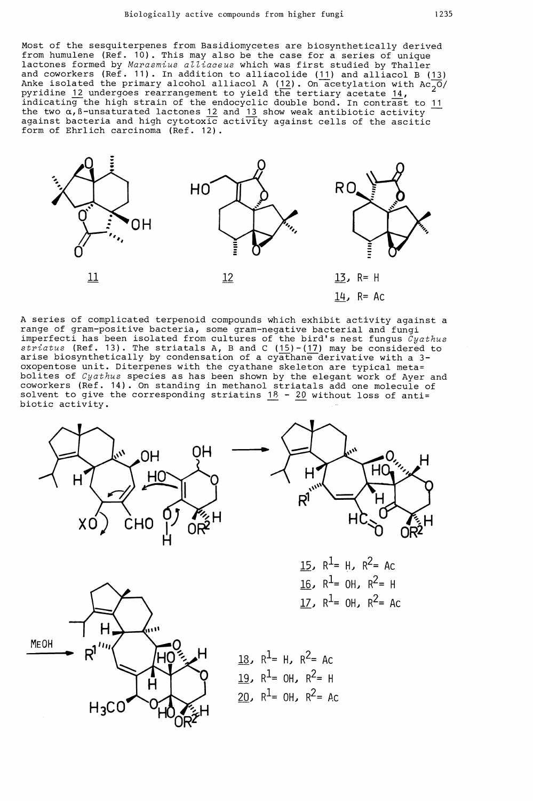Most of the sesquiterpenes from Basidiomycetes are biosynthetically derived from humulene (Ref. 10). This may also be the case for a series of unique lactones formed by Marasmius alliaceus which was first studied by Thaller and coworkers (Ref. 11). In addition to alliacolide (11) and alliacol B (13) Anke isolated the primary alcohol alliacol A (12). On acetylation with  $Ac_{2}0/2$ pyridine 12 undergoes rearrangement to yield the tertiary acetate 14, indicating the high strain of the endocyclic double bond. In contrast to <u>11</u> the two  $\alpha,$  ß-unsaturated lactones  $12$  and  $13$  show weak antibiotic activity  $$ against bacteria and high cytotoxic activity against cells of the ascitic form of Ehrlich carcinoma (Ref. 12).



A series of complicated terpenoid compounds which exhibit activity against a range of gram—positive bacteria, some gram-negative bacterial and fungi imperfecti has been isolated from cultures of the bird's nest fungus  $\tilde{c}y$ athus  $striatus$  (Ref. 13). The striatals A, B and C (<u>15</u>)-(<u>17</u>) may be considered to arise biosynthetically by condensation of a cyathane derivative with a 3 oxopentose unit. Diterpenes with the cyathane skeleton are typical meta= bolites of  $Cyathus$  species as has been shown by the elegant work of Ayer and coworkers (Ref. 14). On standing in methanol striatals add one molecule of solvent to give the corresponding striatins  $18$  -  $20$  without loss of anti= biotic activity.





15,  $R^1 = H$ ,  $R^2 = AC$ 16,  $R^2$ = OH,  $R^2$ = H 17,  $R^1 = 0$ H,  $R^2 = AC$ 



18,  $R^1$ = H,  $R^2$ = Ac 19,  $R^1$ = OH,  $R^2$ = H 20,  $R^1 = 0$ H,  $R^2 = AC$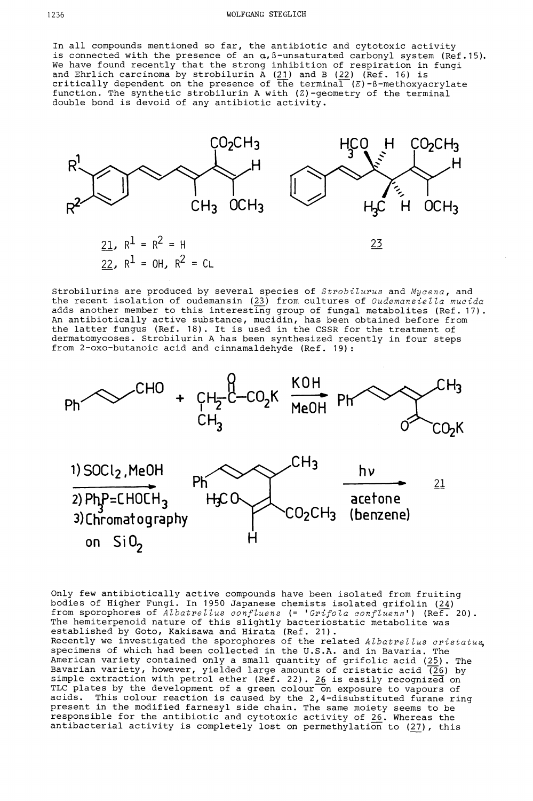In all compounds mentioned so far, the antibiotic and cytotoxic activity is connected with the presence of an  $\alpha$ , B-unsaturated carbonyl system (Ref.15). We have found recently that the strong inhibition of respiration in fungi and Ehrlich carcinoma by strobilurin A (<u>21</u>) and B (<u>22</u>) (Ref. 16) is critically dependent on the presence of the terminal  $(E)$ -ß-methoxyacrylate function. The synthetic strobilurin A with (Z)-geometry of the terminal double bond is devoid of any antibiotic activity.



Strobilurins are produced by several species of Strobilurus and Mycena, and the recent isolation of oudemansin (23) from cultures of Oudemansiella mucida adds another member to this interesting group of fungal metabolites (Ref. 17). An antibiotically active substance, mucidin, has been obtained before from the latter fungus (Ref. 18). It is used in the CSSR for the treatment of dermatomycoses. Strobilurin A has been synthesized recently in four steps from 2-oxo-butanoic acid and cinnamaldehyde (Ref. 19):



Only few antibiotically active compounds have been isolated from fruiting bodies of Higher Fungi. In 1950 Japanese chemists isolated grifolin (24) from sporophores of Albatrellus confluens (= 'Grifola confluens') (Ref. 20). The hemiterpenoid nature of this slightly bacteriostatic metabolite was established by Goto, Kakisawa and Hirata (Ref. 21). Recently we investigated the sporophores of the related Albatrellus cristatus, specimens of which had been collected in the U.S.A. and in Bavaria. The American variety contained only a small quantity of grifolic acid (25). The Bavarian variety, however, yielded large amounts of cristatic acid  $\overline{(26)}$  by simple extraction with petrol ether (Ref. 22).  $26\,$  is easily recognized on TLC plates by the development of a green colour on exposure to vapours of acids. This colour reaction is caused by the 2,4-disubstituted furane ring present in the modified farnesyl side chain. The same moiety seems to be responsible for the antibiotic and cytotoxic activity of  $26$ . Whereas the antibacterial activity is completely lost on permethylation to (27), this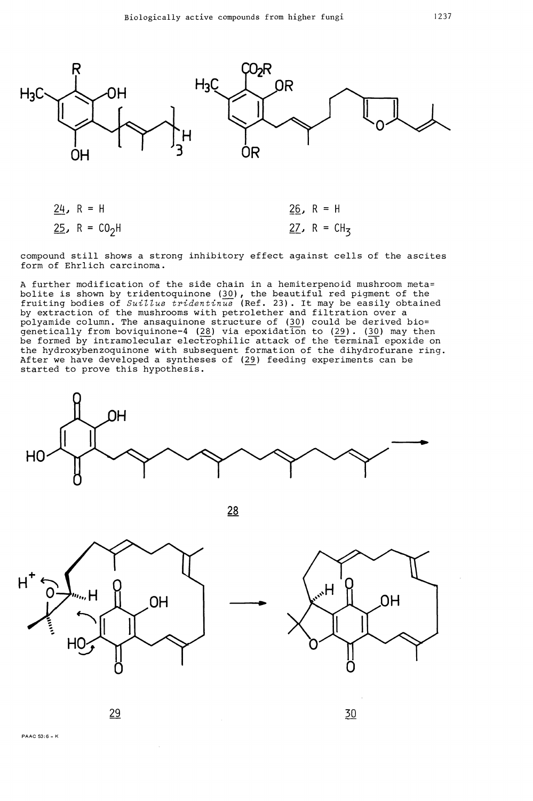

| 24, R = H                         | 26, $R = H$    |
|-----------------------------------|----------------|
| <u>25</u> , R = CO <sub>2</sub> H | 27, R = $CH_3$ |

compound still shows a strong inhibitory effect against cells of the ascites form of Ehrlich carcinoma.

A further modification of the side chain in a hemiterpenoid mushroom meta= bolite is shown by tridentoquinone (30), the beautiful red pigment of the fruiting bodies of Suillus tridentinus (Ref. 23). It may be easily obtained by extraction of the mushrooms with petrolether and filtration over a polyamide column. The ansaquinone structure of  $(30)$  could be derived bio= genetically from boviquinone-4 (28) via epoxidation to (29). (30) may then be formed by intramolecular electrophilic attack of the terminal epoxide on the hydroxybenzoquinone with subsequent formation of the dihydrofurane ring. After we have developed a syntheses of (29) feeding experiments can be started to prove this hypothesis.



28





29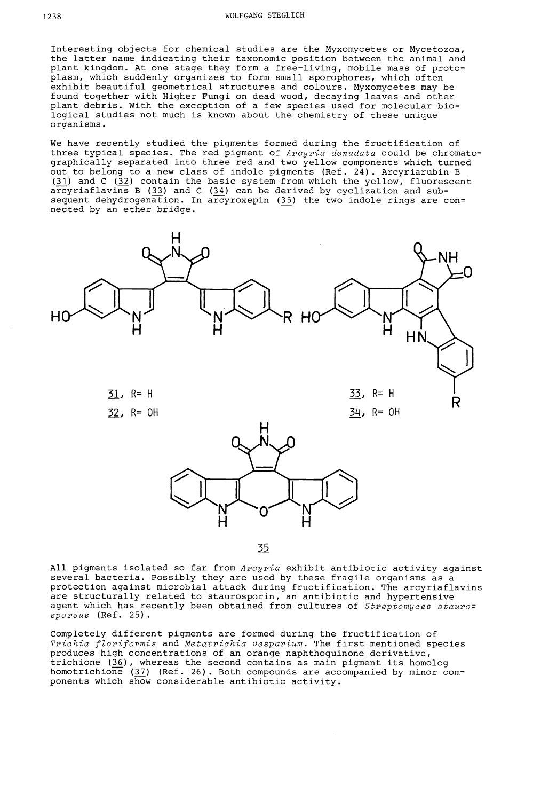Interesting objects for chemical studies are the Myxomycetes or Mycetozoa, the latter name indicating their taxonomic position between the animal and plant kingdom. At one stage they form a free-living, mobile mass of proto= plasm, which suddenly organizes to form small sporophores, which often exhibit beautiful geometrical structures and colours. Myxomycetes may be found together with Higher Fungi on dead wood, decaying leaves and other plant debris. With the exception of a few species used for molecular bio= logical studies not much is known about the chemistry of these unique organisms.

We have recently studied the pigments formed during the fructification of three typical species. The red pigment of *Arcyria denudata* could be chromato= graphically separated into three red and two yellow components which turned out to belong to a new class of indole pigments (Ref. 24). Arcyriarubin B (31) and C (32) contain the basic system from which the yellow, fluorescent arcyriaflavins B (33) and C (34) can be derived by cyclization and sub= sequent dehydrogenation. In arcyroxepin (35) the two indole rings are con= nected by an ether bridge.



35

All pigments isolated so far from Arcyria exhibit antibiotic activity against several bacteria. Possibly they are used by these fragile organisms as a protection against microbial attack during fructification. The arcyriaflavins are structurally related to staurosporin, an antibiotic and hypertensive agent which has recently been obtained from cultures of Streptomyces stauro= sporeus (Ref. 25).

Completely different pigments are formed during the fructification of Trichia floriformis and Metatrichia vesparium. The first mentioned species produces high concentrations of an orange naphthoquinone derivative, trichione (36), whereas the second contains as main pigment its homolog homotrichione (37) (Ref. 26). Both compounds are accompanied by minor com= ponents which show considerable antibiotic activity.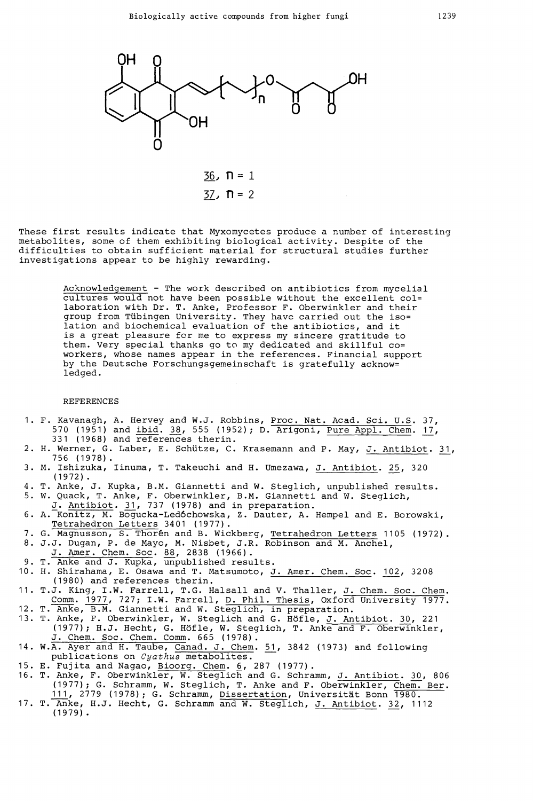

 $36. \; \textbf{n} = 1$  $37. \n\Pi = 2$ 

These first results indicate that Myxomycetes produce a number of interesting metabolites, some of them exhibiting biological activity. Despite of the difficulties to obtain sufficient material for structural studies further investigations appear to be highly rewarding.

> Acknowledgement - The work described on antibiotics from mycelial cultures would not have been possible without the excellent col= laboration with Dr. T. Anke, Professor F. Oberwinkler and their group from Tübingen University. They have carried out the iso= lation and biochemical evaluation of the antibiotics, and it is a great pleasure for me to express my sincere gratitude to them. Very special thanks go to my dedicated and skillful co= workers, whose names appear in the references. Financial support by the Deutsche Forschungsgemeinschaft is gratefully acknow= ledged.

## REFERENCES

- 1. F. Kavanagh, A. Hervey and W.J. Robbins, Proc. Nat. Acad. Sci. U.S. 37, 570 (1951) and ibid. 38, 555 (1952); D. Arigoni, Pure Appl. Chem. 17, 331 (1968) and references therin.
- 2. H. Werner, G. Laber, E. Schütze, C. Krasemann and P. May, J. Antibiot. 31, 756 (1978).
- 3. M. Ishizuka, linuma, T. Takeuchi and H. Umezawa, J. Antibiot. 25, 320 (1972)
- 4. T. Anke, J. Kupka, B.M. Giannetti and W. Steglich, unpublished results.<br>5. W. Ouack. T. Anke, F. Oberwinkler, B.M. Giannetti and W. Steglich.
- 5. W. Quack, T. Anke, F. Oberwinkler, B.M. Giannetti and W. Steglich,
- J. Antibiot. 31, 737 (1978) and in preparation. 6. A. Konitz, M. Bogucka-Ledóchowska, Z. Dauter, A. Hempel and E. Borowski, Tetrahedron Letters 3401 (1977).
- 7. G. Magnusson, S. Thorên and B. Wickberg, Tetrahedron Letters 1105 (1972).
- 8. J.J. Dugan, P. de Mayo, M. Nisbet, J.R. Robinson and M. Anchel,
- J.Amer. Chem. Soc. 88, 2838 (1966).
- 9. T. Anke and J. Kupka, unpublished results.
- 10. H. Shirahama, E. Osawa and T. Matsumoto, J. Amer. Chem. Soc. 102, 3208 (1980) and references therin.
- 11. T.J. King, I.W. Farrell, T.G. Halsall and V. Thaller, J. Chem. Soc. Chem.
- Comm. 1977, 727; I.W. Farrell, <u>D. Phil. Thesis</u>, Oxford University 1977. 12. T. Anke, B.M. Giannetti and W. Steglich, in preparation.
- 13. T. Anke, F. Oberwinkler, W. Steglich and G. Höfle, J. Antibiot. 30, 221 (1977); H.J. Hecht, G. Höfle, W. Steglich, T. Anke and F. Oberwinkler, J.Chem. Soc. Chem. Comm. 665 (1978).
- 14. W.A. Ayer and H. Taube, Canad. J. Chem. 51, 3842 (1973) and following publications on Cyathus metabolites.
- 15. E. Fujita and Nagao, Bioorg. Chem. 6, 287 (1977).
- 16. T. Anke, F. Oberwinkler, W. Steglich and G. Schramm, J. Antibiot. 30, 806 (1977); G. Schramm, W. Steglich, T. Anke and F. Oberwinkler, Chem. Ber. 111, 2779 (1978); G. Schramm, Dissertation, Universität Bonn T80.
- 17. T. Anke, H.J. Hecht, G. Schramm and W. Steglich, J. Antibiot. 32, 1112  $(1979)$ .